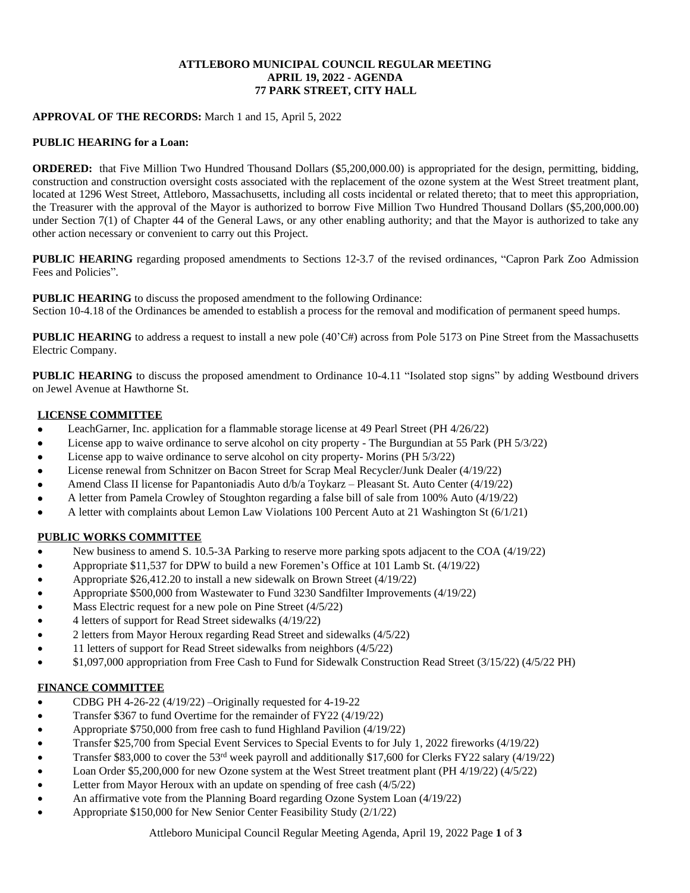### **ATTLEBORO MUNICIPAL COUNCIL REGULAR MEETING APRIL 19, 2022 - AGENDA 77 PARK STREET, CITY HALL**

### **APPROVAL OF THE RECORDS:** March 1 and 15, April 5, 2022

#### **PUBLIC HEARING for a Loan:**

**ORDERED:** that Five Million Two Hundred Thousand Dollars (\$5,200,000.00) is appropriated for the design, permitting, bidding, construction and construction oversight costs associated with the replacement of the ozone system at the West Street treatment plant, located at 1296 West Street, Attleboro, Massachusetts, including all costs incidental or related thereto; that to meet this appropriation, the Treasurer with the approval of the Mayor is authorized to borrow Five Million Two Hundred Thousand Dollars (\$5,200,000.00) under Section 7(1) of Chapter 44 of the General Laws, or any other enabling authority; and that the Mayor is authorized to take any other action necessary or convenient to carry out this Project.

**PUBLIC HEARING** regarding proposed amendments to Sections 12-3.7 of the revised ordinances, "Capron Park Zoo Admission Fees and Policies".

**PUBLIC HEARING** to discuss the proposed amendment to the following Ordinance: Section 10-4.18 of the Ordinances be amended to establish a process for the removal and modification of permanent speed humps.

**PUBLIC HEARING** to address a request to install a new pole (40'C#) across from Pole 5173 on Pine Street from the Massachusetts Electric Company.

**PUBLIC HEARING** to discuss the proposed amendment to Ordinance 10-4.11 "Isolated stop signs" by adding Westbound drivers on Jewel Avenue at Hawthorne St.

## **LICENSE COMMITTEE**

- LeachGarner, Inc. application for a flammable storage license at 49 Pearl Street (PH 4/26/22)
- License app to waive ordinance to serve alcohol on city property The Burgundian at 55 Park (PH 5/3/22)
- License app to waive ordinance to serve alcohol on city property- Morins (PH 5/3/22)
- License renewal from Schnitzer on Bacon Street for Scrap Meal Recycler/Junk Dealer (4/19/22)
- Amend Class II license for Papantoniadis Auto d/b/a Toykarz Pleasant St. Auto Center (4/19/22)
- A letter from Pamela Crowley of Stoughton regarding a false bill of sale from 100% Auto (4/19/22)
- A letter with complaints about Lemon Law Violations 100 Percent Auto at 21 Washington St (6/1/21)

### **PUBLIC WORKS COMMITTEE**

- New business to amend S. 10.5-3A Parking to reserve more parking spots adjacent to the COA (4/19/22)
- Appropriate \$11,537 for DPW to build a new Foremen's Office at 101 Lamb St. (4/19/22)
- Appropriate \$26,412.20 to install a new sidewalk on Brown Street (4/19/22)
- Appropriate \$500,000 from Wastewater to Fund 3230 Sandfilter Improvements (4/19/22)
- Mass Electric request for a new pole on Pine Street (4/5/22)
- 4 letters of support for Read Street sidewalks (4/19/22)
- 2 letters from Mayor Heroux regarding Read Street and sidewalks (4/5/22)
- 11 letters of support for Read Street sidewalks from neighbors (4/5/22)
- \$1,097,000 appropriation from Free Cash to Fund for Sidewalk Construction Read Street (3/15/22) (4/5/22 PH)

### **FINANCE COMMITTEE**

- CDBG PH 4-26-22 (4/19/22) –Originally requested for 4-19-22
- Transfer \$367 to fund Overtime for the remainder of FY22 (4/19/22)
- Appropriate \$750,000 from free cash to fund Highland Pavilion (4/19/22)
- Transfer \$25,700 from Special Event Services to Special Events to for July 1, 2022 fireworks (4/19/22)
- Transfer \$83,000 to cover the 53rd week payroll and additionally \$17,600 for Clerks FY22 salary (4/19/22)
- Loan Order \$5,200,000 for new Ozone system at the West Street treatment plant (PH 4/19/22) (4/5/22)
- Letter from Mayor Heroux with an update on spending of free cash (4/5/22)
- An affirmative vote from the Planning Board regarding Ozone System Loan (4/19/22)
- Appropriate \$150,000 for New Senior Center Feasibility Study (2/1/22)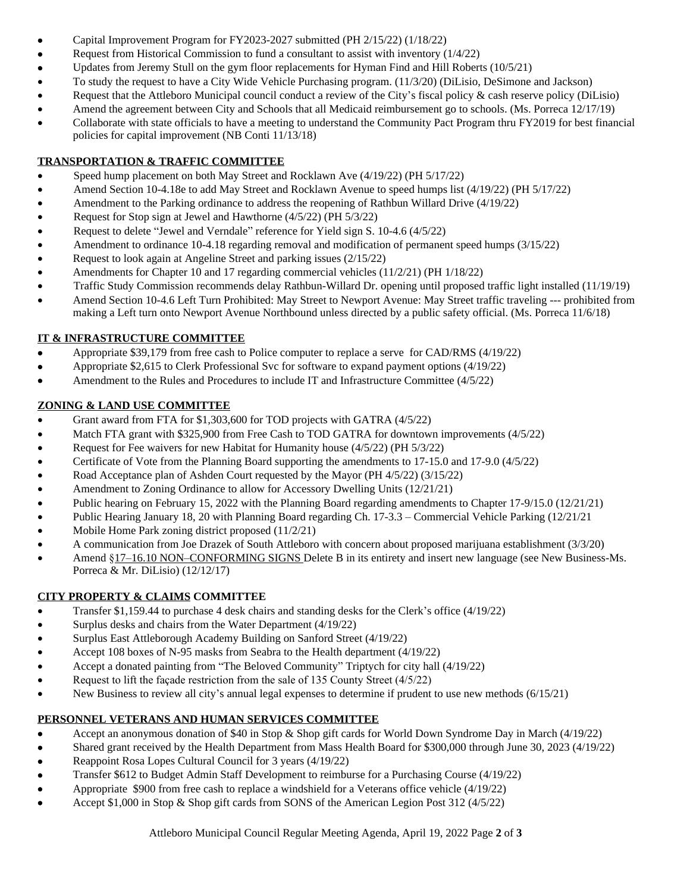- Capital Improvement Program for FY2023-2027 submitted (PH 2/15/22) (1/18/22)
- Request from Historical Commission to fund a consultant to assist with inventory (1/4/22)
- Updates from Jeremy Stull on the gym floor replacements for Hyman Find and Hill Roberts (10/5/21)
- To study the request to have a City Wide Vehicle Purchasing program. (11/3/20) (DiLisio, DeSimone and Jackson)
- Request that the Attleboro Municipal council conduct a review of the City's fiscal policy & cash reserve policy (DiLisio)
- Amend the agreement between City and Schools that all Medicaid reimbursement go to schools. (Ms. Porreca 12/17/19)
- Collaborate with state officials to have a meeting to understand the Community Pact Program thru FY2019 for best financial policies for capital improvement (NB Conti 11/13/18)

# **TRANSPORTATION & TRAFFIC COMMITTEE**

- Speed hump placement on both May Street and Rocklawn Ave (4/19/22) (PH 5/17/22)
- Amend Section 10-4.18e to add May Street and Rocklawn Avenue to speed humps list (4/19/22) (PH 5/17/22)
- Amendment to the Parking ordinance to address the reopening of Rathbun Willard Drive (4/19/22)
- Request for Stop sign at Jewel and Hawthorne (4/5/22) (PH 5/3/22)
- Request to delete "Jewel and Verndale" reference for Yield sign S. 10-4.6 (4/5/22)
- Amendment to ordinance 10-4.18 regarding removal and modification of permanent speed humps (3/15/22)
- Request to look again at Angeline Street and parking issues (2/15/22)
- Amendments for Chapter 10 and 17 regarding commercial vehicles (11/2/21) (PH 1/18/22)
- Traffic Study Commission recommends delay Rathbun-Willard Dr. opening until proposed traffic light installed (11/19/19)
- Amend Section 10-4.6 Left Turn Prohibited: May Street to Newport Avenue: May Street traffic traveling --- prohibited from making a Left turn onto Newport Avenue Northbound unless directed by a public safety official. (Ms. Porreca 11/6/18)

# **IT & INFRASTRUCTURE COMMITTEE**

- Appropriate \$39,179 from free cash to Police computer to replace a serve for CAD/RMS (4/19/22)
- Appropriate \$2,615 to Clerk Professional Svc for software to expand payment options (4/19/22)
- Amendment to the Rules and Procedures to include IT and Infrastructure Committee (4/5/22)

# **ZONING & LAND USE COMMITTEE**

- Grant award from FTA for \$1,303,600 for TOD projects with GATRA (4/5/22)
- Match FTA grant with \$325,900 from Free Cash to TOD GATRA for downtown improvements (4/5/22)
- Request for Fee waivers for new Habitat for Humanity house (4/5/22) (PH 5/3/22)
- Certificate of Vote from the Planning Board supporting the amendments to 17-15.0 and 17-9.0 (4/5/22)
- Road Acceptance plan of Ashden Court requested by the Mayor (PH 4/5/22) (3/15/22)
- Amendment to Zoning Ordinance to allow for Accessory Dwelling Units (12/21/21)
- Public hearing on February 15, 2022 with the Planning Board regarding amendments to Chapter 17-9/15.0 (12/21/21)
- Public Hearing January 18, 20 with Planning Board regarding Ch. 17-3.3 Commercial Vehicle Parking (12/21/21
- Mobile Home Park zoning district proposed (11/2/21)
- A communication from Joe Drazek of South Attleboro with concern about proposed marijuana establishment (3/3/20)
- Amend §17–16.10 NON–CONFORMING SIGNS Delete B in its entirety and insert new language (see New Business-Ms. Porreca & Mr. DiLisio) (12/12/17)

# **CITY PROPERTY & CLAIMS COMMITTEE**

- Transfer \$1,159.44 to purchase 4 desk chairs and standing desks for the Clerk's office (4/19/22)
- Surplus desks and chairs from the Water Department (4/19/22)
- Surplus East Attleborough Academy Building on Sanford Street (4/19/22)
- Accept 108 boxes of N-95 masks from Seabra to the Health department (4/19/22)
- Accept a donated painting from "The Beloved Community" Triptych for city hall (4/19/22)
- Request to lift the façade restriction from the sale of 135 County Street (4/5/22)
- New Business to review all city's annual legal expenses to determine if prudent to use new methods (6/15/21)

# **PERSONNEL VETERANS AND HUMAN SERVICES COMMITTEE**

- Accept an anonymous donation of \$40 in Stop & Shop gift cards for World Down Syndrome Day in March (4/19/22)
- Shared grant received by the Health Department from Mass Health Board for \$300,000 through June 30, 2023 (4/19/22)
- Reappoint Rosa Lopes Cultural Council for 3 years (4/19/22)
- Transfer \$612 to Budget Admin Staff Development to reimburse for a Purchasing Course (4/19/22)
- Appropriate \$900 from free cash to replace a windshield for a Veterans office vehicle (4/19/22)
- Accept \$1,000 in Stop & Shop gift cards from SONS of the American Legion Post 312 (4/5/22)